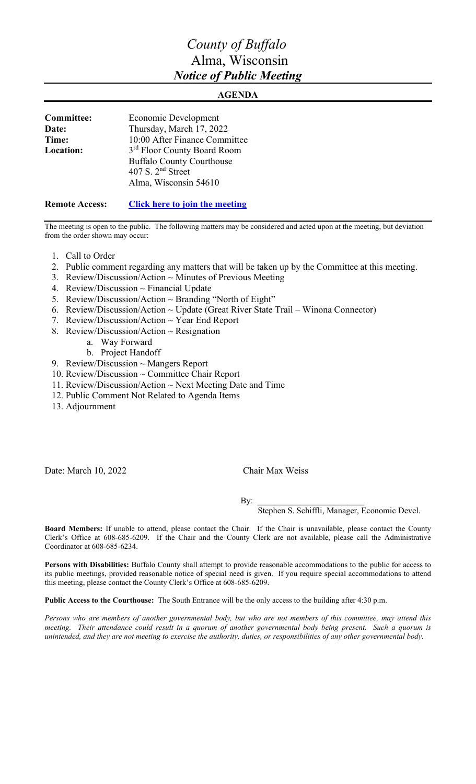# *County of Buffalo* Alma, Wisconsin *Notice of Public Meeting*

### **AGENDA**

| Committee: | Economic Development             |
|------------|----------------------------------|
| Date:      | Thursday, March 17, 2022         |
| Time:      | 10:00 After Finance Committee    |
| Location:  | 3rd Floor County Board Room      |
|            | <b>Buffalo County Courthouse</b> |
|            | 407 S. $2nd$ Street              |
|            | Alma, Wisconsin 54610            |
|            |                                  |

#### **Remote Access: [Click here to join the meeting](https://teams.microsoft.com/l/meetup-join/19%3ameeting_MDEzN2I2ZTYtZjkyMi00Y2ZkLTkzYjQtMDZmZjE2ZGY0ODUw%40thread.v2/0?context=%7b%22Tid%22%3a%22f1d261ed-3d71-40ed-8061-475b575d17b1%22%2c%22Oid%22%3a%22ea0452f2-4228-4818-88fd-818f890c722e%22%7d)**

The meeting is open to the public. The following matters may be considered and acted upon at the meeting, but deviation from the order shown may occur:

- 1. Call to Order
- 2. Public comment regarding any matters that will be taken up by the Committee at this meeting.
- 3. Review/Discussion/Action ~ Minutes of Previous Meeting
- 4. Review/Discussion ~ Financial Update
- 5. Review/Discussion/Action ~ Branding "North of Eight"
- 6. Review/Discussion/Action ~ Update (Great River State Trail Winona Connector)
- 7. Review/Discussion/Action ~ Year End Report
- 8. Review/Discussion/Action  $\sim$  Resignation
	- a. Way Forward
	- b. Project Handoff
- 9. Review/Discussion ~ Mangers Report
- 10. Review/Discussion ~ Committee Chair Report
- 11. Review/Discussion/Action ~ Next Meeting Date and Time
- 12. Public Comment Not Related to Agenda Items
- 13. Adjournment

Date: March 10, 2022 Chair Max Weiss

By:  $\Box$ 

Stephen S. Schiffli, Manager, Economic Devel.

**Board Members:** If unable to attend, please contact the Chair. If the Chair is unavailable, please contact the County Clerk's Office at 608-685-6209. If the Chair and the County Clerk are not available, please call the Administrative Coordinator at 608-685-6234.

**Persons with Disabilities:** Buffalo County shall attempt to provide reasonable accommodations to the public for access to its public meetings, provided reasonable notice of special need is given. If you require special accommodations to attend this meeting, please contact the County Clerk's Office at 608-685-6209.

**Public Access to the Courthouse:** The South Entrance will be the only access to the building after 4:30 p.m.

*Persons who are members of another governmental body, but who are not members of this committee, may attend this meeting. Their attendance could result in a quorum of another governmental body being present. Such a quorum is unintended, and they are not meeting to exercise the authority, duties, or responsibilities of any other governmental body.*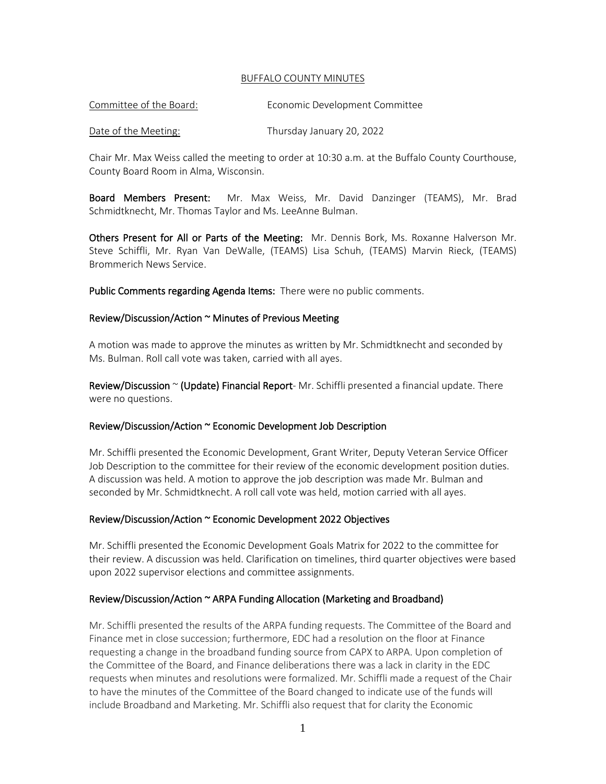#### BUFFALO COUNTY MINUTES

| Committee of the Board: | Economic Development Committee |
|-------------------------|--------------------------------|
|                         |                                |

#### Date of the Meeting: Thursday January 20, 2022

Chair Mr. Max Weiss called the meeting to order at 10:30 a.m. at the Buffalo County Courthouse, County Board Room in Alma, Wisconsin.

Board Members Present: Mr. Max Weiss, Mr. David Danzinger (TEAMS), Mr. Brad Schmidtknecht, Mr. Thomas Taylor and Ms. LeeAnne Bulman.

Others Present for All or Parts of the Meeting: Mr. Dennis Bork, Ms. Roxanne Halverson Mr. Steve Schiffli, Mr. Ryan Van DeWalle, (TEAMS) Lisa Schuh, (TEAMS) Marvin Rieck, (TEAMS) Brommerich News Service.

Public Comments regarding Agenda Items: There were no public comments.

#### Review/Discussion/Action ~ Minutes of Previous Meeting

A motion was made to approve the minutes as written by Mr. Schmidtknecht and seconded by Ms. Bulman. Roll call vote was taken, carried with all ayes.

Review/Discussion  $\sim$  (Update) Financial Report-Mr. Schiffli presented a financial update. There were no questions.

#### Review/Discussion/Action ~ Economic Development Job Description

Mr. Schiffli presented the Economic Development, Grant Writer, Deputy Veteran Service Officer Job Description to the committee for their review of the economic development position duties. A discussion was held. A motion to approve the job description was made Mr. Bulman and seconded by Mr. Schmidtknecht. A roll call vote was held, motion carried with all ayes.

#### Review/Discussion/Action ~ Economic Development 2022 Objectives

Mr. Schiffli presented the Economic Development Goals Matrix for 2022 to the committee for their review. A discussion was held. Clarification on timelines, third quarter objectives were based upon 2022 supervisor elections and committee assignments.

#### Review/Discussion/Action ~ ARPA Funding Allocation (Marketing and Broadband)

Mr. Schiffli presented the results of the ARPA funding requests. The Committee of the Board and Finance met in close succession; furthermore, EDC had a resolution on the floor at Finance requesting a change in the broadband funding source from CAPX to ARPA. Upon completion of the Committee of the Board, and Finance deliberations there was a lack in clarity in the EDC requests when minutes and resolutions were formalized. Mr. Schiffli made a request of the Chair to have the minutes of the Committee of the Board changed to indicate use of the funds will include Broadband and Marketing. Mr. Schiffli also request that for clarity the Economic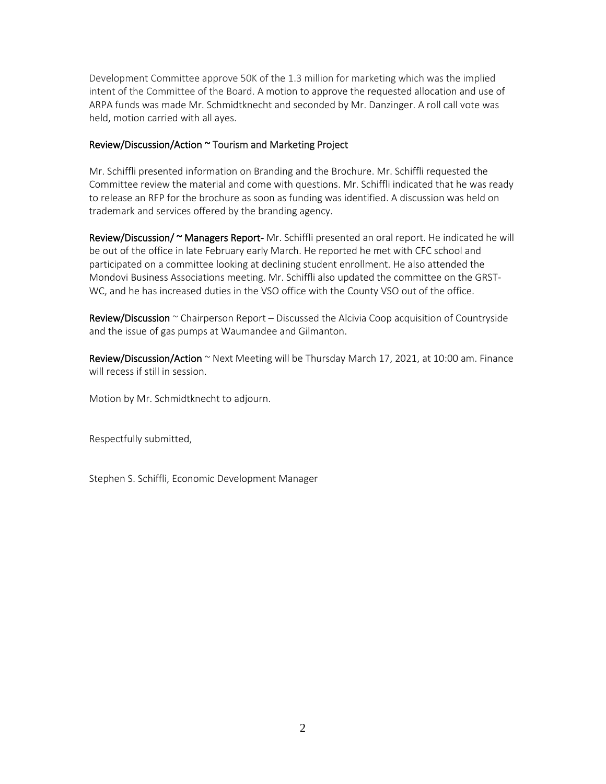Development Committee approve 50K of the 1.3 million for marketing which was the implied intent of the Committee of the Board. A motion to approve the requested allocation and use of ARPA funds was made Mr. Schmidtknecht and seconded by Mr. Danzinger. A roll call vote was held, motion carried with all ayes.

#### Review/Discussion/Action ~ Tourism and Marketing Project

Mr. Schiffli presented information on Branding and the Brochure. Mr. Schiffli requested the Committee review the material and come with questions. Mr. Schiffli indicated that he was ready to release an RFP for the brochure as soon as funding was identified. A discussion was held on trademark and services offered by the branding agency.

Review/Discussion/ ~ Managers Report- Mr. Schiffli presented an oral report. He indicated he will be out of the office in late February early March. He reported he met with CFC school and participated on a committee looking at declining student enrollment. He also attended the Mondovi Business Associations meeting. Mr. Schiffli also updated the committee on the GRST-WC, and he has increased duties in the VSO office with the County VSO out of the office.

**Review/Discussion**  $\sim$  Chairperson Report – Discussed the Alcivia Coop acquisition of Countryside and the issue of gas pumps at Waumandee and Gilmanton.

Review/Discussion/Action ~ Next Meeting will be Thursday March 17, 2021, at 10:00 am. Finance will recess if still in session.

Motion by Mr. Schmidtknecht to adjourn.

Respectfully submitted,

Stephen S. Schiffli, Economic Development Manager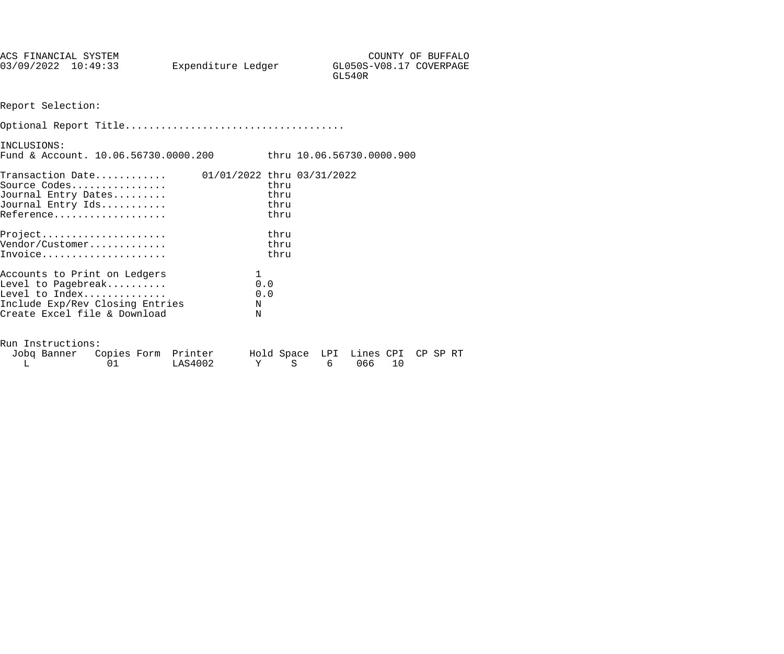| 03/09/2022 10:49:33          | COUNTY OF BUFFALO       |
|------------------------------|-------------------------|
| Expenditure Ledger<br>GL540R | GL050S-V08.17 COVERPAGE |

Report Selection:

| INCLUSIONS:<br>Fund & Account. $10.06.56730.0000.200$ thru $10.06.56730.0000.900$                                                       |                            |                              |  |
|-----------------------------------------------------------------------------------------------------------------------------------------|----------------------------|------------------------------|--|
| $\mathtt{Transaction\,\, Date.} \ldots \ldots \ldots$<br>Source Codes<br>Journal Entry Dates<br>Journal Entry Ids<br>Reference          | 01/01/2022 thru 03/31/2022 | thru<br>thru<br>thru<br>thru |  |
| $Project.$<br>Vendor/Customer<br>Invoice                                                                                                |                            | thru<br>thru<br>thru         |  |
| Accounts to Print on Ledgers<br>Level to Pagebreak<br>Level to Index<br>Include Exp/Rev Closing Entries<br>Create Excel file & Download | 1<br>0.0<br>N<br>N         | 0.0                          |  |
| Run Instructions:                                                                                                                       |                            |                              |  |

| Jobg Banner Copies Form Printer |         | Hold Space LPI Lines CPI CP SP RT |        |  |  |
|---------------------------------|---------|-----------------------------------|--------|--|--|
|                                 | LAS4002 |                                   | 606610 |  |  |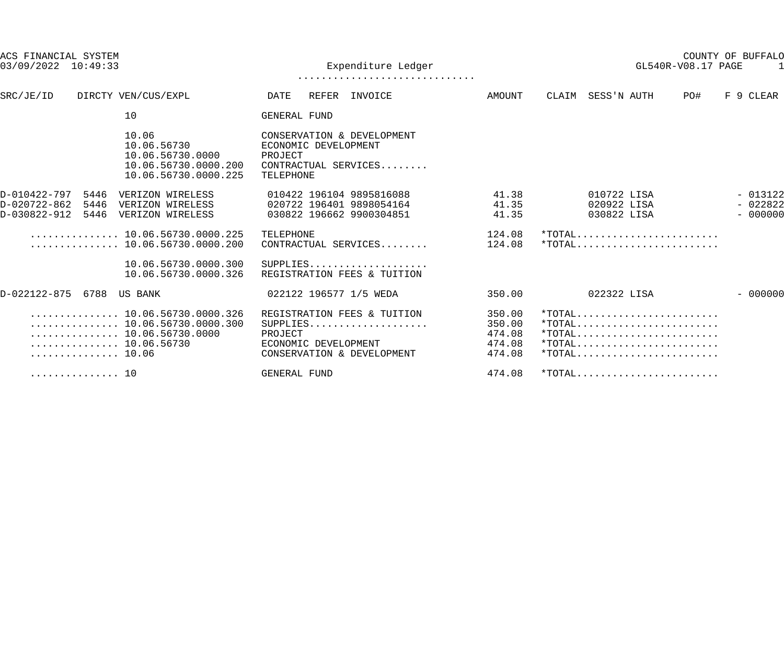| ACS FINANCIAL SYSTEM<br>$03/09/2022$ 10:49:33             |                                                                                                                                                                                 | Expenditure Ledger                                                                                       |                                                | GL540R-V08.17 PAGE                                          | COUNTY OF BUFFALO                   |
|-----------------------------------------------------------|---------------------------------------------------------------------------------------------------------------------------------------------------------------------------------|----------------------------------------------------------------------------------------------------------|------------------------------------------------|-------------------------------------------------------------|-------------------------------------|
|                                                           |                                                                                                                                                                                 |                                                                                                          |                                                |                                                             |                                     |
| SRC/JE/ID                                                 | DIRCTY VEN/CUS/EXPL                                                                                                                                                             | REFER INVOICE<br>DATE                                                                                    | AMOUNT                                         | CLAIM SESS'N AUTH<br>PO#                                    | F 9 CLEAR                           |
|                                                           | 10                                                                                                                                                                              | GENERAL FUND                                                                                             |                                                |                                                             |                                     |
|                                                           | 10.06<br>10.06.56730<br>10.06.56730.0000<br>10.06.56730.0000.200<br>10.06.56730.0000.225                                                                                        | CONSERVATION & DEVELOPMENT<br>ECONOMIC DEVELOPMENT<br>PROJECT<br>CONTRACTUAL SERVICES<br>TELEPHONE       |                                                |                                                             |                                     |
| D-010422-797<br>D-020722-862<br>5446<br>D-030822-912      | 5446 VERIZON WIRELESS<br>VERIZON WIRELESS<br>5446 VERIZON WIRELESS                                                                                                              | 010422 196104 9895816088<br>020722 196401 9898054164<br>030822 196662 9900304851                         | 41.38<br>41.35<br>41.35                        | 010722 LISA<br>020922 LISA<br>030822 LISA                   | $-013122$<br>$-022822$<br>$-000000$ |
|                                                           | $\ldots \ldots \ldots \ldots \ldots 10.06.56730.0000.225$<br>$\ldots \ldots \ldots \ldots \ldots 10.06.56730.0000.200$                                                          | TELEPHONE<br>CONTRACTUAL SERVICES                                                                        | 124.08<br>124.08                               | $*$ TOTAL                                                   |                                     |
|                                                           | 10.06.56730.0000.300<br>10.06.56730.0000.326                                                                                                                                    | SUPPLIES<br>REGISTRATION FEES & TUITION                                                                  |                                                |                                                             |                                     |
| D-022122-875 6788 US BANK                                 |                                                                                                                                                                                 | 022122 196577 1/5 WEDA                                                                                   | 350.00                                         | 022322 LISA                                                 | $-000000$                           |
| $\ldots \ldots \ldots \ldots \ldots 10.06.56730$<br>10.06 | $\ldots \ldots \ldots \ldots \ldots 10.06.56730.0000.326$<br>$\ldots \ldots \ldots \ldots \ldots 10.06.56730.0000.300$<br>$\ldots \ldots \ldots \ldots \ldots 10.06.56730.0000$ | REGISTRATION FEES & TUITION<br>SUPPLIES<br>PROJECT<br>ECONOMIC DEVELOPMENT<br>CONSERVATION & DEVELOPMENT | 350.00<br>350.00<br>474.08<br>474.08<br>474.08 |                                                             |                                     |
| . 10                                                      |                                                                                                                                                                                 | GENERAL FUND                                                                                             | 474.08                                         | $*$ TOTAL $\dots \dots \dots \dots \dots \dots \dots \dots$ |                                     |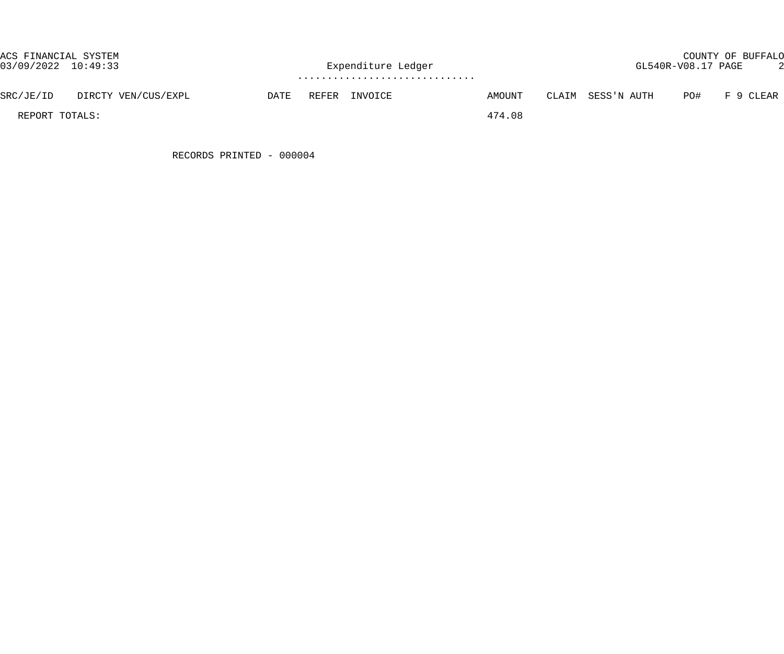| ACS FINANCIAL SYSTEM<br>03/09/2022 10:49:33 |                     |      | Expenditure Ledger |               |        | COUNTY OF BUFFALO<br>GL540R-V08.17 PAGE |                   |     |           |  |  |
|---------------------------------------------|---------------------|------|--------------------|---------------|--------|-----------------------------------------|-------------------|-----|-----------|--|--|
| SRC/JE/ID                                   | DIRCTY VEN/CUS/EXPL | DATE |                    | REFER INVOICE | AMOUNT |                                         | CLAIM SESS'N AUTH | PO# | F 9 CLEAR |  |  |
| REPORT TOTALS:                              |                     |      |                    |               | 474.08 |                                         |                   |     |           |  |  |

RECORDS PRINTED - 000004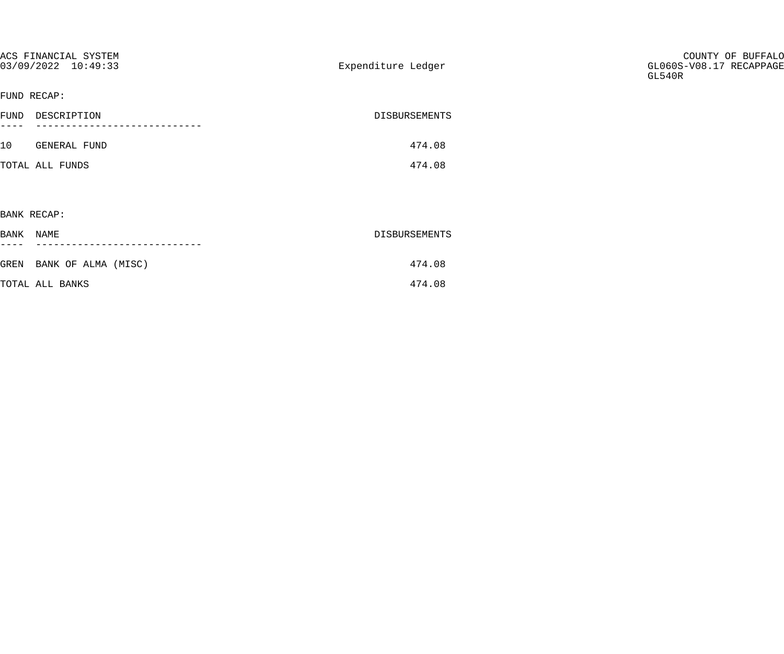| ACS FINANCIAL SYSTEM<br>03/09/2022 10:49:33 | Expenditure Ledger | COUNTY OF BUFFALO<br>GL060S-V08.17 RECAPPAGE<br>GL540R |
|---------------------------------------------|--------------------|--------------------------------------------------------|
| FUND RECAP:                                 |                    |                                                        |
| FUND DESCRIPTION<br>$---$                   | DISBURSEMENTS      |                                                        |
|                                             |                    |                                                        |
| 10 GENERAL FUND                             | 474.08             |                                                        |
| TOTAL ALL FUNDS                             | 474.08             |                                                        |
|                                             |                    |                                                        |
| BANK RECAP:                                 |                    |                                                        |
| BANK NAME                                   | DISBURSEMENTS      |                                                        |
|                                             |                    |                                                        |
| GREN BANK OF ALMA (MISC)                    | 474.08             |                                                        |
| TOTAL ALL BANKS                             | 474.08             |                                                        |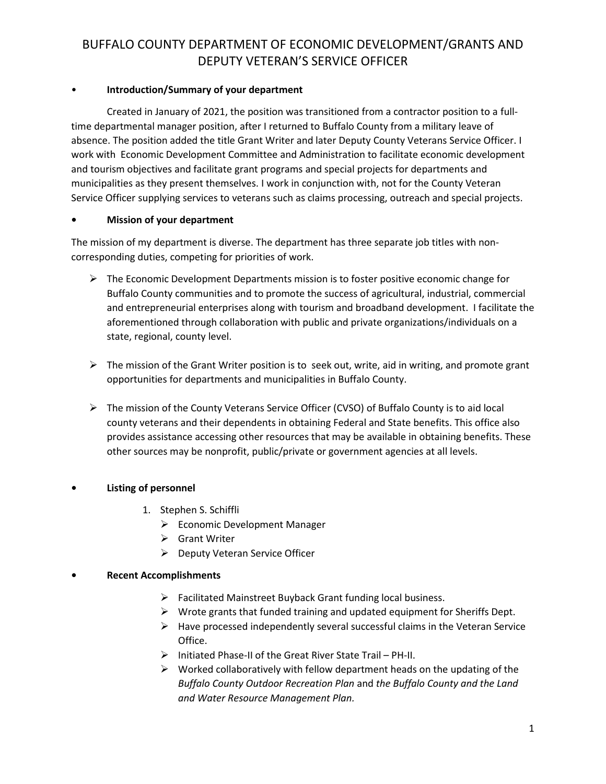## BUFFALO COUNTY DEPARTMENT OF ECONOMIC DEVELOPMENT/GRANTS AND DEPUTY VETERAN'S SERVICE OFFICER

### • **Introduction/Summary of your department**

Created in January of 2021, the position was transitioned from a contractor position to a fulltime departmental manager position, after I returned to Buffalo County from a military leave of absence. The position added the title Grant Writer and later Deputy County Veterans Service Officer. I work with Economic Development Committee and Administration to facilitate economic development and tourism objectives and facilitate grant programs and special projects for departments and municipalities as they present themselves. I work in conjunction with, not for the County Veteran Service Officer supplying services to veterans such as claims processing, outreach and special projects.

## **• Mission of your department**

The mission of my department is diverse. The department has three separate job titles with noncorresponding duties, competing for priorities of work.

- $\triangleright$  The Economic Development Departments mission is to foster positive economic change for Buffalo County communities and to promote the success of agricultural, industrial, commercial and entrepreneurial enterprises along with tourism and broadband development. I facilitate the aforementioned through collaboration with public and private organizations/individuals on a state, regional, county level.
- $\triangleright$  The mission of the Grant Writer position is to seek out, write, aid in writing, and promote grant opportunities for departments and municipalities in Buffalo County.
- ➢ The mission of the County Veterans Service Officer (CVSO) of Buffalo County is to aid local county veterans and their dependents in obtaining Federal and State benefits. This office also provides assistance accessing other resources that may be available in obtaining benefits. These other sources may be nonprofit, public/private or government agencies at all levels.

## **• Listing of personnel**

- 1. Stephen S. Schiffli
	- ➢ Economic Development Manager
	- ➢ Grant Writer
	- ➢ Deputy Veteran Service Officer

### **• Recent Accomplishments**

- ➢ Facilitated Mainstreet Buyback Grant funding local business.
- $\triangleright$  Wrote grants that funded training and updated equipment for Sheriffs Dept.
- $\triangleright$  Have processed independently several successful claims in the Veteran Service Office.
- ➢ Initiated Phase-II of the Great River State Trail PH-II.
- $\triangleright$  Worked collaboratively with fellow department heads on the updating of the *Buffalo County Outdoor Recreation Plan* and *the Buffalo County and the Land and Water Resource Management Plan.*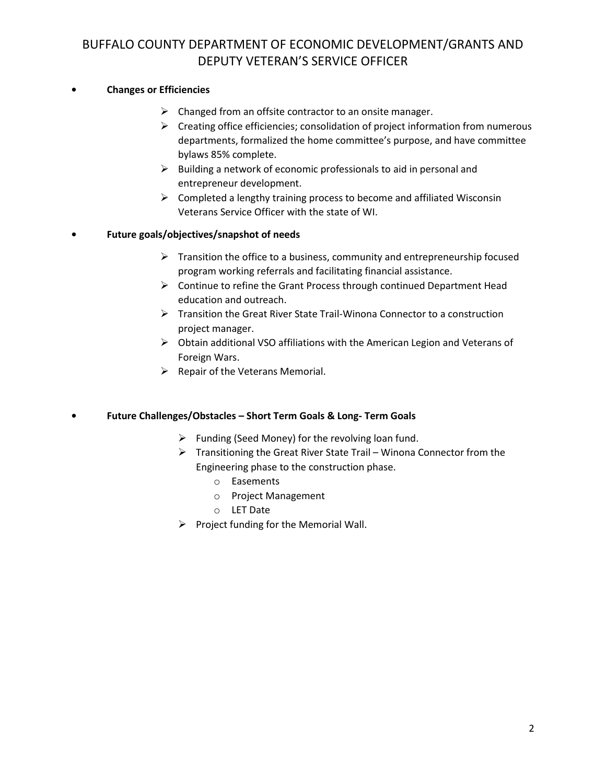## BUFFALO COUNTY DEPARTMENT OF ECONOMIC DEVELOPMENT/GRANTS AND DEPUTY VETERAN'S SERVICE OFFICER

### **• Changes or Efficiencies**

- $\triangleright$  Changed from an offsite contractor to an onsite manager.
- $\triangleright$  Creating office efficiencies; consolidation of project information from numerous departments, formalized the home committee's purpose, and have committee bylaws 85% complete.
- $\triangleright$  Building a network of economic professionals to aid in personal and entrepreneur development.
- $\triangleright$  Completed a lengthy training process to become and affiliated Wisconsin Veterans Service Officer with the state of WI.

## **• Future goals/objectives/snapshot of needs**

- $\triangleright$  Transition the office to a business, community and entrepreneurship focused program working referrals and facilitating financial assistance.
- ➢ Continue to refine the Grant Process through continued Department Head education and outreach.
- ➢ Transition the Great River State Trail-Winona Connector to a construction project manager.
- ➢ Obtain additional VSO affiliations with the American Legion and Veterans of Foreign Wars.
- $\triangleright$  Repair of the Veterans Memorial.

### **• Future Challenges/Obstacles – Short Term Goals & Long- Term Goals**

- $\triangleright$  Funding (Seed Money) for the revolving loan fund.
- ➢ Transitioning the Great River State Trail Winona Connector from the Engineering phase to the construction phase.
	- o Easements
	- o Project Management
	- o LET Date
- $\triangleright$  Project funding for the Memorial Wall.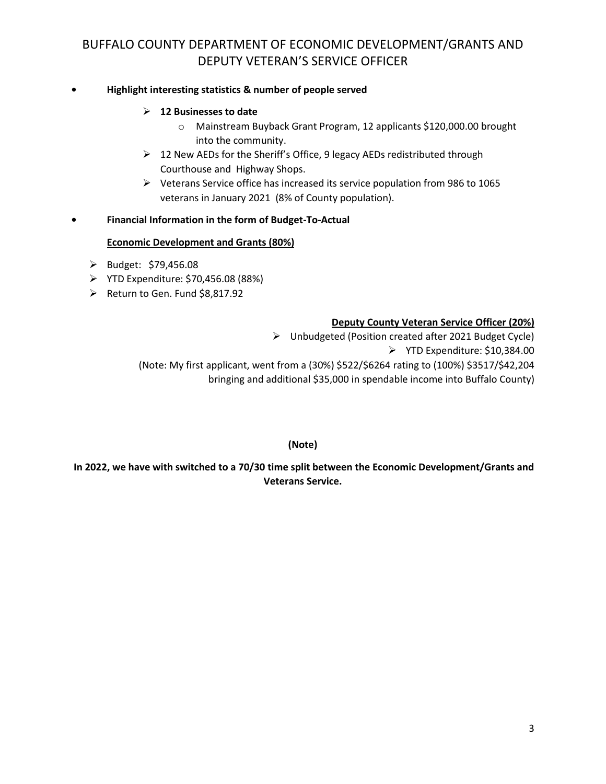## BUFFALO COUNTY DEPARTMENT OF ECONOMIC DEVELOPMENT/GRANTS AND DEPUTY VETERAN'S SERVICE OFFICER

### **• Highlight interesting statistics & number of people served**

#### ➢ **12 Businesses to date**

- o Mainstream Buyback Grant Program, 12 applicants \$120,000.00 brought into the community.
- ➢ 12 New AEDs for the Sheriff's Office, 9 legacy AEDs redistributed through Courthouse and Highway Shops.
- ➢ Veterans Service office has increased its service population from 986 to 1065 veterans in January 2021 (8% of County population).

#### **• Financial Information in the form of Budget-To-Actual**

#### **Economic Development and Grants (80%)**

- ➢ Budget: \$79,456.08
- ➢ YTD Expenditure: \$70,456.08 (88%)
- ➢ Return to Gen. Fund \$8,817.92

#### **Deputy County Veteran Service Officer (20%)**

➢ Unbudgeted (Position created after 2021 Budget Cycle) ➢ YTD Expenditure: \$10,384.00 (Note: My first applicant, went from a (30%) \$522/\$6264 rating to (100%) \$3517/\$42,204 bringing and additional \$35,000 in spendable income into Buffalo County)

**(Note)**

**In 2022, we have with switched to a 70/30 time split between the Economic Development/Grants and Veterans Service.**